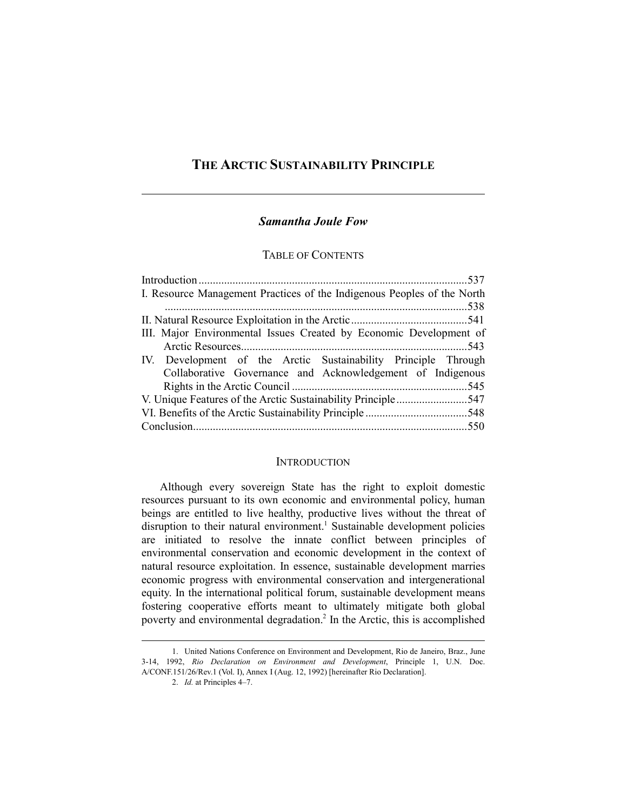# **THE ARCTIC SUSTAINABILITY PRINCIPLE**

# *Samantha Joule Fow*

## TABLE OF CONTENTS

| I. Resource Management Practices of the Indigenous Peoples of the North |  |
|-------------------------------------------------------------------------|--|
|                                                                         |  |
|                                                                         |  |
| III. Major Environmental Issues Created by Economic Development of      |  |
|                                                                         |  |
| IV. Development of the Arctic Sustainability Principle Through          |  |
| Collaborative Governance and Acknowledgement of Indigenous              |  |
|                                                                         |  |
|                                                                         |  |
|                                                                         |  |
|                                                                         |  |

### **INTRODUCTION**

Although every sovereign State has the right to exploit domestic resources pursuant to its own economic and environmental policy, human beings are entitled to live healthy, productive lives without the threat of disruption to their natural environment.<sup>1</sup> Sustainable development policies are initiated to resolve the innate conflict between principles of environmental conservation and economic development in the context of natural resource exploitation. In essence, sustainable development marries economic progress with environmental conservation and intergenerational equity. In the international political forum, sustainable development means fostering cooperative efforts meant to ultimately mitigate both global poverty and environmental degradation.<sup>2</sup> In the Arctic, this is accomplished

 <sup>1.</sup> United Nations Conference on Environment and Development, Rio de Janeiro, Braz., June 3-14, 1992, *Rio Declaration on Environment and Development*, Principle 1, U.N. Doc. A/CONF.151/26/Rev.1 (Vol. I), Annex I (Aug. 12, 1992) [hereinafter Rio Declaration].

 <sup>2.</sup> *Id.* at Principles 4–7.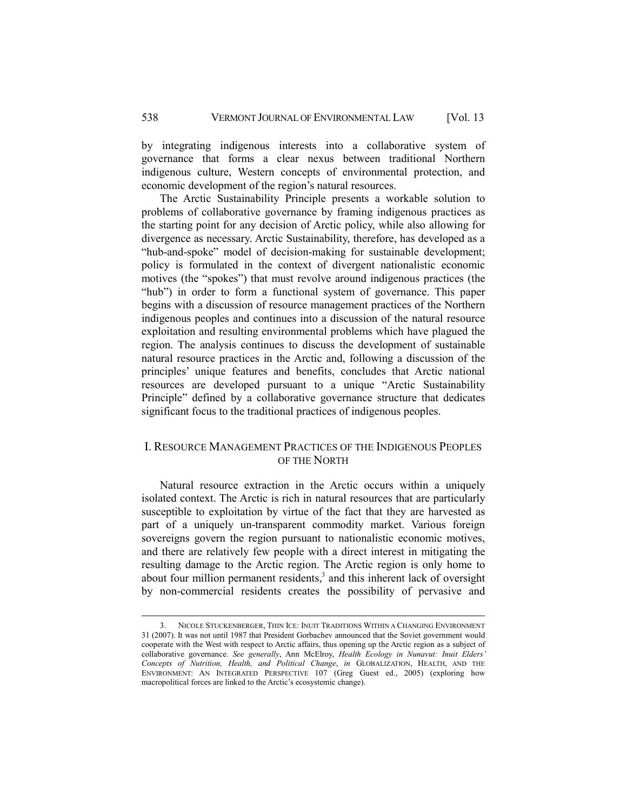by integrating indigenous interests into a collaborative system of governance that forms a clear nexus between traditional Northern indigenous culture, Western concepts of environmental protection, and economic development of the region's natural resources.

The Arctic Sustainability Principle presents a workable solution to problems of collaborative governance by framing indigenous practices as the starting point for any decision of Arctic policy, while also allowing for divergence as necessary. Arctic Sustainability, therefore, has developed as a "hub-and-spoke" model of decision-making for sustainable development; policy is formulated in the context of divergent nationalistic economic motives (the "spokes") that must revolve around indigenous practices (the "hub") in order to form a functional system of governance. This paper begins with a discussion of resource management practices of the Northern indigenous peoples and continues into a discussion of the natural resource exploitation and resulting environmental problems which have plagued the region. The analysis continues to discuss the development of sustainable natural resource practices in the Arctic and, following a discussion of the principles' unique features and benefits, concludes that Arctic national resources are developed pursuant to a unique "Arctic Sustainability Principle" defined by a collaborative governance structure that dedicates significant focus to the traditional practices of indigenous peoples.

### I. RESOURCE MANAGEMENT PRACTICES OF THE INDIGENOUS PEOPLES OF THE NORTH

Natural resource extraction in the Arctic occurs within a uniquely isolated context. The Arctic is rich in natural resources that are particularly susceptible to exploitation by virtue of the fact that they are harvested as part of a uniquely un-transparent commodity market. Various foreign sovereigns govern the region pursuant to nationalistic economic motives, and there are relatively few people with a direct interest in mitigating the resulting damage to the Arctic region. The Arctic region is only home to about four million permanent residents, $3$  and this inherent lack of oversight by non-commercial residents creates the possibility of pervasive and

 <sup>3.</sup> NICOLE STUCKENBERGER, THIN ICE: INUIT TRADITIONS WITHIN A CHANGING ENVIRONMENT 31 (2007). It was not until 1987 that President Gorbachev announced that the Soviet government would cooperate with the West with respect to Arctic affairs, thus opening up the Arctic region as a subject of collaborative governance. *See generally*, Ann McElroy, *Health Ecology in Nunavut: Inuit Elders' Concepts of Nutrition, Health, and Political Change*, *in* GLOBALIZATION, HEALTH, AND THE ENVIRONMENT: AN INTEGRATED PERSPECTIVE 107 (Greg Guest ed., 2005) (exploring how macropolitical forces are linked to the Arctic's ecosystemic change).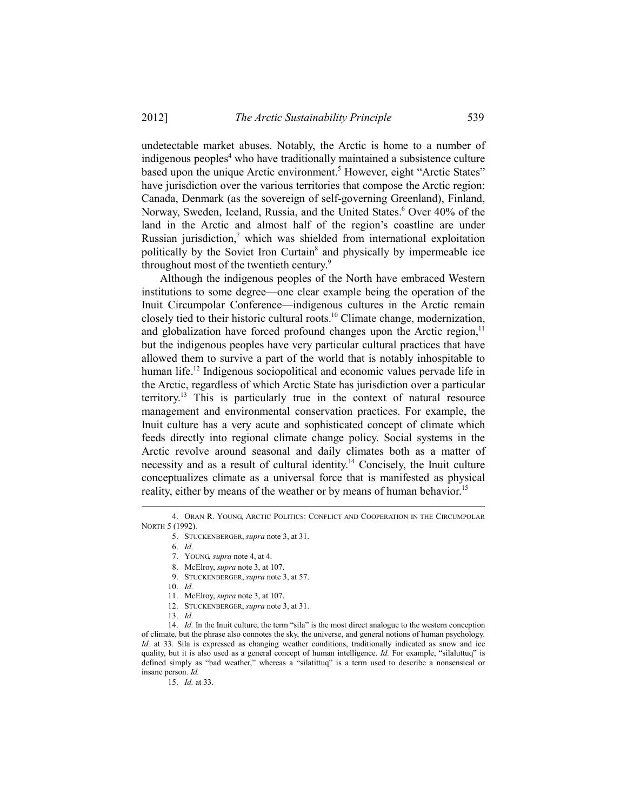undetectable market abuses. Notably, the Arctic is home to a number of indigenous peoples<sup>4</sup> who have traditionally maintained a subsistence culture based upon the unique Arctic environment.<sup>5</sup> However, eight "Arctic States" have jurisdiction over the various territories that compose the Arctic region: Canada, Denmark (as the sovereign of self-governing Greenland), Finland, Norway, Sweden, Iceland, Russia, and the United States.<sup>6</sup> Over 40% of the land in the Arctic and almost half of the region's coastline are under Russian jurisdiction, $7$  which was shielded from international exploitation politically by the Soviet Iron Curtain<sup>8</sup> and physically by impermeable ice throughout most of the twentieth century.<sup>9</sup>

Although the indigenous peoples of the North have embraced Western institutions to some degree—one clear example being the operation of the Inuit Circumpolar Conference—indigenous cultures in the Arctic remain closely tied to their historic cultural roots.<sup>10</sup> Climate change, modernization, and globalization have forced profound changes upon the Arctic region, $<sup>11</sup>$ </sup> but the indigenous peoples have very particular cultural practices that have allowed them to survive a part of the world that is notably inhospitable to human life.<sup>12</sup> Indigenous sociopolitical and economic values pervade life in the Arctic, regardless of which Arctic State has jurisdiction over a particular territory.<sup>13</sup> This is particularly true in the context of natural resource management and environmental conservation practices. For example, the Inuit culture has a very acute and sophisticated concept of climate which feeds directly into regional climate change policy. Social systems in the Arctic revolve around seasonal and daily climates both as a matter of necessity and as a result of cultural identity.14 Concisely, the Inuit culture conceptualizes climate as a universal force that is manifested as physical reality, either by means of the weather or by means of human behavior.<sup>15</sup>

l

- 9. STUCKENBERGER, *supra* note 3, at 57.
- 10. *Id.*
- 11. McElroy, *supra* note 3, at 107.
- 12. STUCKENBERGER, *supra* note 3, at 31.
- 13. *Id.*

15. *Id.* at 33.

 <sup>4.</sup> ORAN R. YOUNG, ARCTIC POLITICS: CONFLICT AND COOPERATION IN THE CIRCUMPOLAR NORTH 5 (1992).

 <sup>5.</sup> STUCKENBERGER, *supra* note 3, at 31.

 <sup>6.</sup> *Id.* 

 <sup>7.</sup> YOUNG, *supra* note 4, at 4.

 <sup>8.</sup> McElroy, *supra* note 3, at 107.

<sup>14.</sup> *Id.* In the Inuit culture, the term "sila" is the most direct analogue to the western conception of climate, but the phrase also connotes the sky, the universe, and general notions of human psychology. *Id.* at 33. Sila is expressed as changing weather conditions, traditionally indicated as snow and ice quality, but it is also used as a general concept of human intelligence. *Id.* For example, "silaluttuq" is defined simply as "bad weather," whereas a "silatittuq" is a term used to describe a nonsensical or insane person. *Id.*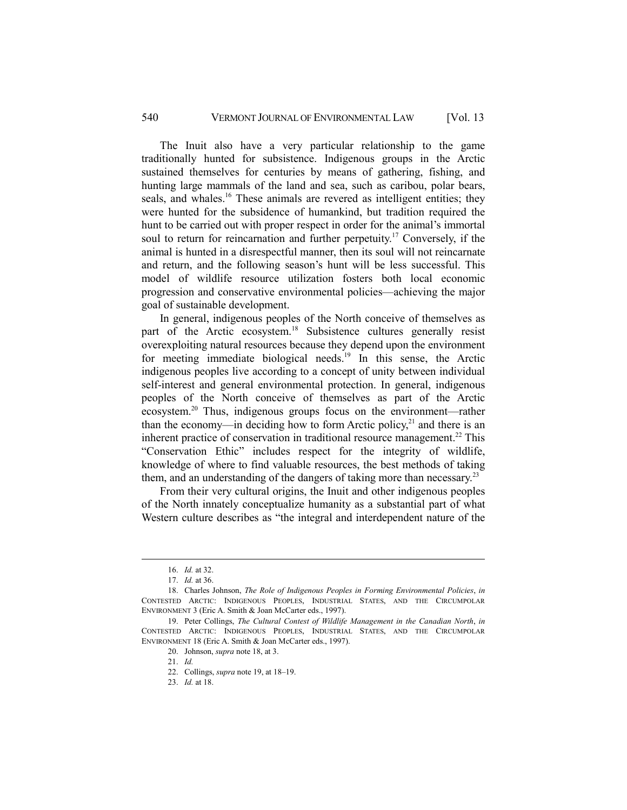### 540 VERMONT JOURNAL OF ENVIRONMENTAL LAW [Vol. 13

The Inuit also have a very particular relationship to the game traditionally hunted for subsistence. Indigenous groups in the Arctic sustained themselves for centuries by means of gathering, fishing, and hunting large mammals of the land and sea, such as caribou, polar bears, seals, and whales.<sup>16</sup> These animals are revered as intelligent entities; they were hunted for the subsidence of humankind, but tradition required the hunt to be carried out with proper respect in order for the animal's immortal soul to return for reincarnation and further perpetuity.<sup>17</sup> Conversely, if the animal is hunted in a disrespectful manner, then its soul will not reincarnate and return, and the following season's hunt will be less successful. This model of wildlife resource utilization fosters both local economic progression and conservative environmental policies—achieving the major goal of sustainable development.

In general, indigenous peoples of the North conceive of themselves as part of the Arctic ecosystem.18 Subsistence cultures generally resist overexploiting natural resources because they depend upon the environment for meeting immediate biological needs.<sup>19</sup> In this sense, the Arctic indigenous peoples live according to a concept of unity between individual self-interest and general environmental protection. In general, indigenous peoples of the North conceive of themselves as part of the Arctic ecosystem.20 Thus, indigenous groups focus on the environment—rather than the economy—in deciding how to form Arctic policy, $^{21}$  and there is an inherent practice of conservation in traditional resource management.<sup>22</sup> This "Conservation Ethic" includes respect for the integrity of wildlife, knowledge of where to find valuable resources, the best methods of taking them, and an understanding of the dangers of taking more than necessary.<sup>23</sup>

From their very cultural origins, the Inuit and other indigenous peoples of the North innately conceptualize humanity as a substantial part of what Western culture describes as "the integral and interdependent nature of the

 <sup>16.</sup> *Id.* at 32.

 <sup>17.</sup> *Id.* at 36.

 <sup>18.</sup> Charles Johnson, *The Role of Indigenous Peoples in Forming Environmental Policies*, *in* CONTESTED ARCTIC: INDIGENOUS PEOPLES, INDUSTRIAL STATES, AND THE CIRCUMPOLAR ENVIRONMENT 3 (Eric A. Smith & Joan McCarter eds., 1997).

 <sup>19.</sup> Peter Collings, *The Cultural Contest of Wildlife Management in the Canadian North*, *in* CONTESTED ARCTIC: INDIGENOUS PEOPLES, INDUSTRIAL STATES, AND THE CIRCUMPOLAR ENVIRONMENT 18 (Eric A. Smith & Joan McCarter eds., 1997).

 <sup>20.</sup> Johnson, *supra* note 18, at 3.

 <sup>21.</sup> *Id.* 

 <sup>22.</sup> Collings, *supra* note 19, at 18–19.

 <sup>23.</sup> *Id.* at 18.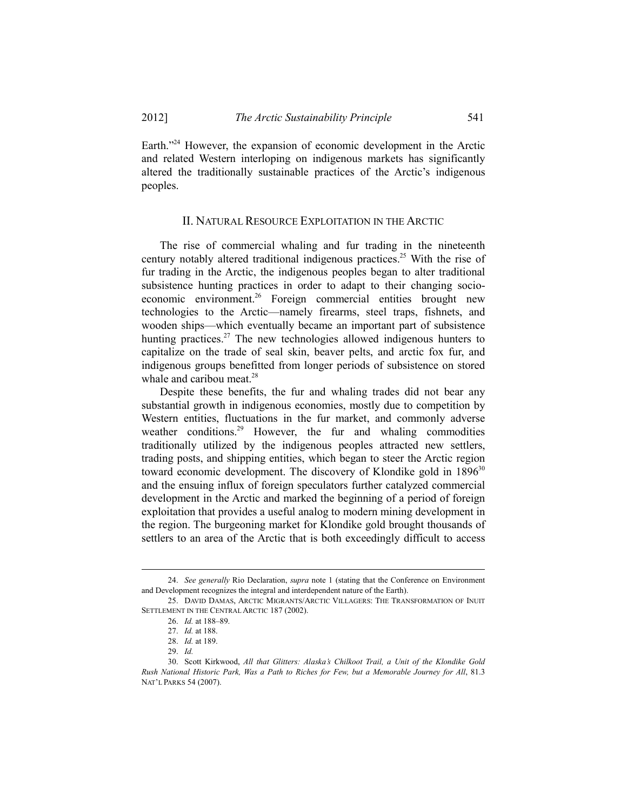Earth."<sup>24</sup> However, the expansion of economic development in the Arctic and related Western interloping on indigenous markets has significantly altered the traditionally sustainable practices of the Arctic's indigenous peoples.

#### II. NATURAL RESOURCE EXPLOITATION IN THE ARCTIC

The rise of commercial whaling and fur trading in the nineteenth century notably altered traditional indigenous practices.25 With the rise of fur trading in the Arctic, the indigenous peoples began to alter traditional subsistence hunting practices in order to adapt to their changing socioeconomic environment.<sup>26</sup> Foreign commercial entities brought new technologies to the Arctic—namely firearms, steel traps, fishnets, and wooden ships—which eventually became an important part of subsistence hunting practices.<sup>27</sup> The new technologies allowed indigenous hunters to capitalize on the trade of seal skin, beaver pelts, and arctic fox fur, and indigenous groups benefitted from longer periods of subsistence on stored whale and caribou meat. $28$ 

Despite these benefits, the fur and whaling trades did not bear any substantial growth in indigenous economies, mostly due to competition by Western entities, fluctuations in the fur market, and commonly adverse weather conditions.<sup>29</sup> However, the fur and whaling commodities traditionally utilized by the indigenous peoples attracted new settlers, trading posts, and shipping entities, which began to steer the Arctic region toward economic development. The discovery of Klondike gold in  $1896^{30}$ and the ensuing influx of foreign speculators further catalyzed commercial development in the Arctic and marked the beginning of a period of foreign exploitation that provides a useful analog to modern mining development in the region. The burgeoning market for Klondike gold brought thousands of settlers to an area of the Arctic that is both exceedingly difficult to access

 $\overline{a}$ 

 <sup>24.</sup> *See generally* Rio Declaration, *supra* note 1 (stating that the Conference on Environment and Development recognizes the integral and interdependent nature of the Earth).

 <sup>25.</sup> DAVID DAMAS, ARCTIC MIGRANTS/ARCTIC VILLAGERS: THE TRANSFORMATION OF INUIT SETTLEMENT IN THE CENTRAL ARCTIC 187 (2002).

 <sup>26.</sup> *Id.* at 188–89.

 <sup>27.</sup> *Id.* at 188.

 <sup>28.</sup> *Id.* at 189.

 <sup>29.</sup> *Id.*

 <sup>30.</sup> Scott Kirkwood, *All that Glitters: Alaska's Chilkoot Trail, a Unit of the Klondike Gold Rush National Historic Park, Was a Path to Riches for Few, but a Memorable Journey for All*, 81.3 NAT'L PARKS 54 (2007).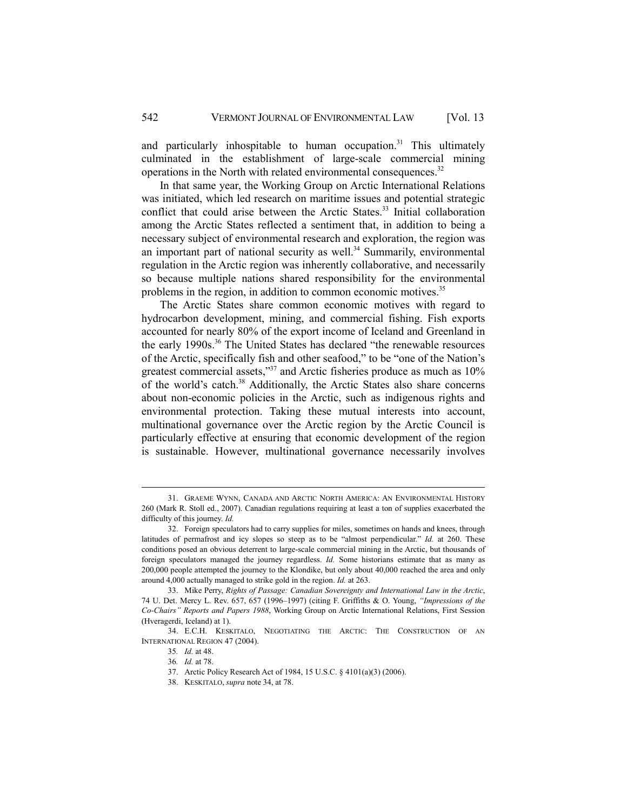and particularly inhospitable to human occupation.<sup>31</sup> This ultimately culminated in the establishment of large-scale commercial mining operations in the North with related environmental consequences.<sup>32</sup>

In that same year, the Working Group on Arctic International Relations was initiated, which led research on maritime issues and potential strategic conflict that could arise between the Arctic States.<sup>33</sup> Initial collaboration among the Arctic States reflected a sentiment that, in addition to being a necessary subject of environmental research and exploration, the region was an important part of national security as well.<sup>34</sup> Summarily, environmental regulation in the Arctic region was inherently collaborative, and necessarily so because multiple nations shared responsibility for the environmental problems in the region, in addition to common economic motives.<sup>35</sup>

The Arctic States share common economic motives with regard to hydrocarbon development, mining, and commercial fishing. Fish exports accounted for nearly 80% of the export income of Iceland and Greenland in the early 1990s.<sup>36</sup> The United States has declared "the renewable resources of the Arctic, specifically fish and other seafood," to be "one of the Nation's greatest commercial assets,"<sup>37</sup> and Arctic fisheries produce as much as 10% of the world's catch.<sup>38</sup> Additionally, the Arctic States also share concerns about non-economic policies in the Arctic, such as indigenous rights and environmental protection. Taking these mutual interests into account, multinational governance over the Arctic region by the Arctic Council is particularly effective at ensuring that economic development of the region is sustainable. However, multinational governance necessarily involves

l

37. Arctic Policy Research Act of 1984, 15 U.S.C. § 4101(a)(3) (2006).

 <sup>31.</sup> GRAEME WYNN, CANADA AND ARCTIC NORTH AMERICA: AN ENVIRONMENTAL HISTORY 260 (Mark R. Stoll ed., 2007). Canadian regulations requiring at least a ton of supplies exacerbated the difficulty of this journey. *Id.*

 <sup>32.</sup> Foreign speculators had to carry supplies for miles, sometimes on hands and knees, through latitudes of permafrost and icy slopes so steep as to be "almost perpendicular." *Id.* at 260. These conditions posed an obvious deterrent to large-scale commercial mining in the Arctic, but thousands of foreign speculators managed the journey regardless. *Id.* Some historians estimate that as many as 200,000 people attempted the journey to the Klondike, but only about 40,000 reached the area and only around 4,000 actually managed to strike gold in the region. *Id.* at 263.

 <sup>33.</sup> Mike Perry, *Rights of Passage: Canadian Sovereignty and International Law in the Arctic*, 74 U. Det. Mercy L. Rev. 657, 657 (1996–1997) (citing F. Griffiths & O. Young, *"Impressions of the Co-Chairs" Reports and Papers 1988*, Working Group on Arctic International Relations, First Session (Hveragerdi, Iceland) at 1).

 <sup>34.</sup> E.C.H. KESKITALO, NEGOTIATING THE ARCTIC: THE CONSTRUCTION OF AN INTERNATIONAL REGION 47 (2004).

<sup>35</sup>*. Id.* at 48.

<sup>36</sup>*. Id.* at 78.

 <sup>38.</sup> KESKITALO, *supra* note 34, at 78.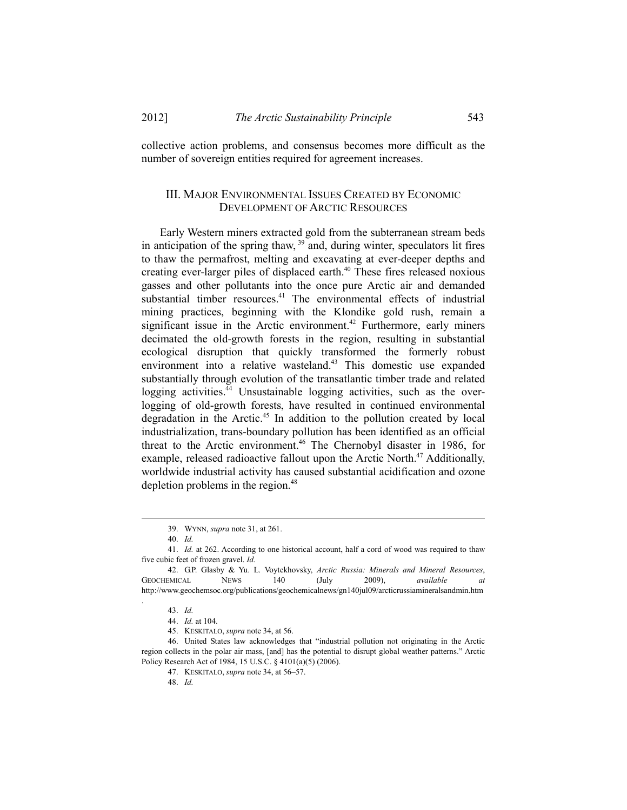collective action problems, and consensus becomes more difficult as the number of sovereign entities required for agreement increases.

## III. MAJOR ENVIRONMENTAL ISSUES CREATED BY ECONOMIC DEVELOPMENT OF ARCTIC RESOURCES

Early Western miners extracted gold from the subterranean stream beds in anticipation of the spring thaw,  $39$  and, during winter, speculators lit fires to thaw the permafrost, melting and excavating at ever-deeper depths and creating ever-larger piles of displaced earth.<sup>40</sup> These fires released noxious gasses and other pollutants into the once pure Arctic air and demanded substantial timber resources.<sup>41</sup> The environmental effects of industrial mining practices, beginning with the Klondike gold rush, remain a significant issue in the Arctic environment.<sup>42</sup> Furthermore, early miners decimated the old-growth forests in the region, resulting in substantial ecological disruption that quickly transformed the formerly robust environment into a relative wasteland.<sup>43</sup> This domestic use expanded substantially through evolution of the transatlantic timber trade and related logging activities.<sup>44</sup> Unsustainable logging activities, such as the overlogging of old-growth forests, have resulted in continued environmental degradation in the Arctic.45 In addition to the pollution created by local industrialization, trans-boundary pollution has been identified as an official threat to the Arctic environment.<sup>46</sup> The Chernobyl disaster in 1986, for example, released radioactive fallout upon the Arctic North.<sup> $47$ </sup> Additionally, worldwide industrial activity has caused substantial acidification and ozone depletion problems in the region. $48$ 

l

.

 <sup>39.</sup> WYNN, *supra* note 31, at 261.

 <sup>40.</sup> *Id.*

 <sup>41.</sup> *Id.* at 262. According to one historical account, half a cord of wood was required to thaw five cubic feet of frozen gravel. *Id.*

 <sup>42.</sup> G.P. Glasby & Yu. L. Voytekhovsky, *Arctic Russia: Minerals and Mineral Resources*, GEOCHEMICAL NEWS 140 (July 2009), *available* http://www.geochemsoc.org/publications/geochemicalnews/gn140jul09/arcticrussiamineralsandmin.htm

 <sup>43.</sup> *Id.*

 <sup>44.</sup> *Id.* at 104.

 <sup>45.</sup> KESKITALO, *supra* note 34, at 56.

 <sup>46.</sup> United States law acknowledges that "industrial pollution not originating in the Arctic region collects in the polar air mass, [and] has the potential to disrupt global weather patterns." Arctic Policy Research Act of 1984, 15 U.S.C. § 4101(a)(5) (2006).

 <sup>47.</sup> KESKITALO, *supra* note 34, at 56–57.

 <sup>48.</sup> *Id.*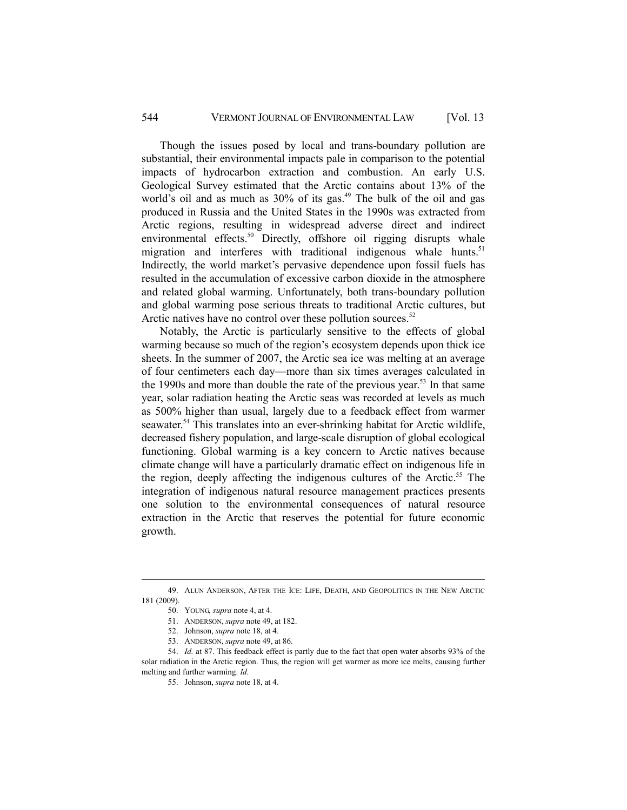### 544 VERMONT JOURNAL OF ENVIRONMENTAL LAW [Vol. 13

Though the issues posed by local and trans-boundary pollution are substantial, their environmental impacts pale in comparison to the potential impacts of hydrocarbon extraction and combustion. An early U.S. Geological Survey estimated that the Arctic contains about 13% of the world's oil and as much as  $30\%$  of its gas.<sup>49</sup> The bulk of the oil and gas produced in Russia and the United States in the 1990s was extracted from Arctic regions, resulting in widespread adverse direct and indirect environmental effects.<sup>50</sup> Directly, offshore oil rigging disrupts whale migration and interferes with traditional indigenous whale hunts.<sup>51</sup> Indirectly, the world market's pervasive dependence upon fossil fuels has resulted in the accumulation of excessive carbon dioxide in the atmosphere and related global warming. Unfortunately, both trans-boundary pollution and global warming pose serious threats to traditional Arctic cultures, but Arctic natives have no control over these pollution sources. $52$ 

Notably, the Arctic is particularly sensitive to the effects of global warming because so much of the region's ecosystem depends upon thick ice sheets. In the summer of 2007, the Arctic sea ice was melting at an average of four centimeters each day—more than six times averages calculated in the 1990s and more than double the rate of the previous year.<sup>53</sup> In that same year, solar radiation heating the Arctic seas was recorded at levels as much as 500% higher than usual, largely due to a feedback effect from warmer seawater.<sup>54</sup> This translates into an ever-shrinking habitat for Arctic wildlife, decreased fishery population, and large-scale disruption of global ecological functioning. Global warming is a key concern to Arctic natives because climate change will have a particularly dramatic effect on indigenous life in the region, deeply affecting the indigenous cultures of the Arctic.<sup>55</sup> The integration of indigenous natural resource management practices presents one solution to the environmental consequences of natural resource extraction in the Arctic that reserves the potential for future economic growth.

 <sup>49.</sup> ALUN ANDERSON, AFTER THE ICE: LIFE, DEATH, AND GEOPOLITICS IN THE NEW ARCTIC 181 (2009).

 <sup>50.</sup> YOUNG, *supra* note 4, at 4.

 <sup>51.</sup> ANDERSON, *supra* note 49, at 182.

 <sup>52.</sup> Johnson, *supra* note 18, at 4.

 <sup>53.</sup> ANDERSON, *supra* note 49, at 86.

 <sup>54.</sup> *Id.* at 87. This feedback effect is partly due to the fact that open water absorbs 93% of the solar radiation in the Arctic region. Thus, the region will get warmer as more ice melts, causing further melting and further warming. *Id.*

 <sup>55.</sup> Johnson, *supra* note 18, at 4.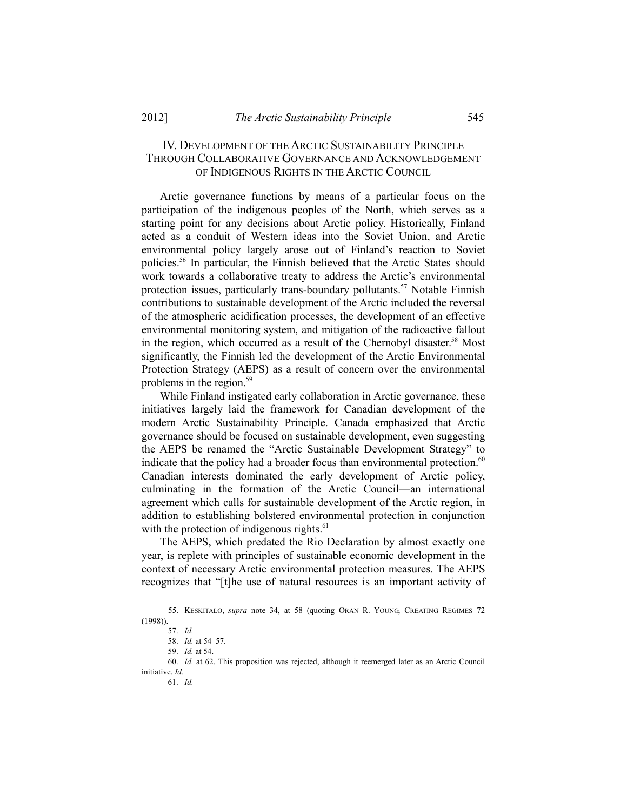## IV. DEVELOPMENT OF THE ARCTIC SUSTAINABILITY PRINCIPLE THROUGH COLLABORATIVE GOVERNANCE AND ACKNOWLEDGEMENT OF INDIGENOUS RIGHTS IN THE ARCTIC COUNCIL

Arctic governance functions by means of a particular focus on the participation of the indigenous peoples of the North, which serves as a starting point for any decisions about Arctic policy. Historically, Finland acted as a conduit of Western ideas into the Soviet Union, and Arctic environmental policy largely arose out of Finland's reaction to Soviet policies.56 In particular, the Finnish believed that the Arctic States should work towards a collaborative treaty to address the Arctic's environmental protection issues, particularly trans-boundary pollutants.<sup>57</sup> Notable Finnish contributions to sustainable development of the Arctic included the reversal of the atmospheric acidification processes, the development of an effective environmental monitoring system, and mitigation of the radioactive fallout in the region, which occurred as a result of the Chernobyl disaster.<sup>58</sup> Most significantly, the Finnish led the development of the Arctic Environmental Protection Strategy (AEPS) as a result of concern over the environmental problems in the region.59

While Finland instigated early collaboration in Arctic governance, these initiatives largely laid the framework for Canadian development of the modern Arctic Sustainability Principle. Canada emphasized that Arctic governance should be focused on sustainable development, even suggesting the AEPS be renamed the "Arctic Sustainable Development Strategy" to indicate that the policy had a broader focus than environmental protection.<sup>60</sup> Canadian interests dominated the early development of Arctic policy, culminating in the formation of the Arctic Council—an international agreement which calls for sustainable development of the Arctic region, in addition to establishing bolstered environmental protection in conjunction with the protection of indigenous rights. $61$ 

The AEPS, which predated the Rio Declaration by almost exactly one year, is replete with principles of sustainable economic development in the context of necessary Arctic environmental protection measures. The AEPS recognizes that "[t]he use of natural resources is an important activity of

 $\overline{a}$ 

 <sup>55.</sup> KESKITALO, *supra* note 34, at 58 (quoting ORAN R. YOUNG, CREATING REGIMES 72 (1998)).

 <sup>57.</sup> *Id.*

 <sup>58.</sup> *Id.* at 54–57.

 <sup>59.</sup> *Id.* at 54.

 <sup>60.</sup> *Id.* at 62. This proposition was rejected, although it reemerged later as an Arctic Council initiative. *Id.*

 <sup>61.</sup> *Id.*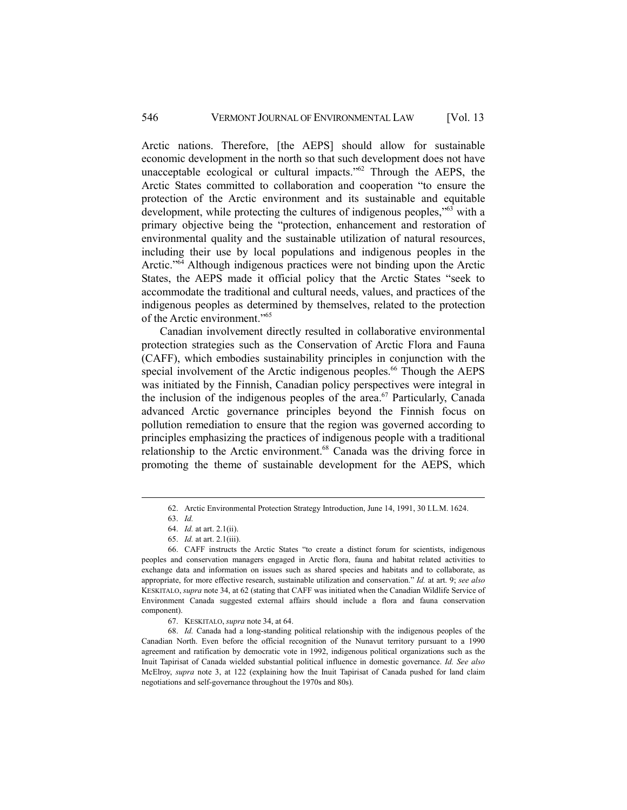Arctic nations. Therefore, [the AEPS] should allow for sustainable economic development in the north so that such development does not have unacceptable ecological or cultural impacts.<sup>"62</sup> Through the AEPS, the Arctic States committed to collaboration and cooperation "to ensure the protection of the Arctic environment and its sustainable and equitable development, while protecting the cultures of indigenous peoples,"63 with a primary objective being the "protection, enhancement and restoration of environmental quality and the sustainable utilization of natural resources, including their use by local populations and indigenous peoples in the Arctic."<sup>64</sup> Although indigenous practices were not binding upon the Arctic States, the AEPS made it official policy that the Arctic States "seek to accommodate the traditional and cultural needs, values, and practices of the indigenous peoples as determined by themselves, related to the protection of the Arctic environment."65

Canadian involvement directly resulted in collaborative environmental protection strategies such as the Conservation of Arctic Flora and Fauna (CAFF), which embodies sustainability principles in conjunction with the special involvement of the Arctic indigenous peoples.<sup>66</sup> Though the AEPS was initiated by the Finnish, Canadian policy perspectives were integral in the inclusion of the indigenous peoples of the area.<sup>67</sup> Particularly, Canada advanced Arctic governance principles beyond the Finnish focus on pollution remediation to ensure that the region was governed according to principles emphasizing the practices of indigenous people with a traditional relationship to the Arctic environment.<sup>68</sup> Canada was the driving force in promoting the theme of sustainable development for the AEPS, which

 <sup>62.</sup> Arctic Environmental Protection Strategy Introduction, June 14, 1991, 30 I.L.M. 1624.

 <sup>63.</sup> *Id.*

 <sup>64.</sup> *Id.* at art. 2.1(ii).

 <sup>65.</sup> *Id.* at art. 2.1(iii).

 <sup>66.</sup> CAFF instructs the Arctic States "to create a distinct forum for scientists, indigenous peoples and conservation managers engaged in Arctic flora, fauna and habitat related activities to exchange data and information on issues such as shared species and habitats and to collaborate, as appropriate, for more effective research, sustainable utilization and conservation." *Id.* at art. 9; *see also* KESKITALO, *supra* note 34, at 62 (stating that CAFF was initiated when the Canadian Wildlife Service of Environment Canada suggested external affairs should include a flora and fauna conservation component).

 <sup>67.</sup> KESKITALO, *supra* note 34, at 64.

 <sup>68.</sup> *Id.* Canada had a long-standing political relationship with the indigenous peoples of the Canadian North. Even before the official recognition of the Nunavut territory pursuant to a 1990 agreement and ratification by democratic vote in 1992, indigenous political organizations such as the Inuit Tapirisat of Canada wielded substantial political influence in domestic governance. *Id. See also* McElroy, *supra* note 3, at 122 (explaining how the Inuit Tapirisat of Canada pushed for land claim negotiations and self-governance throughout the 1970s and 80s).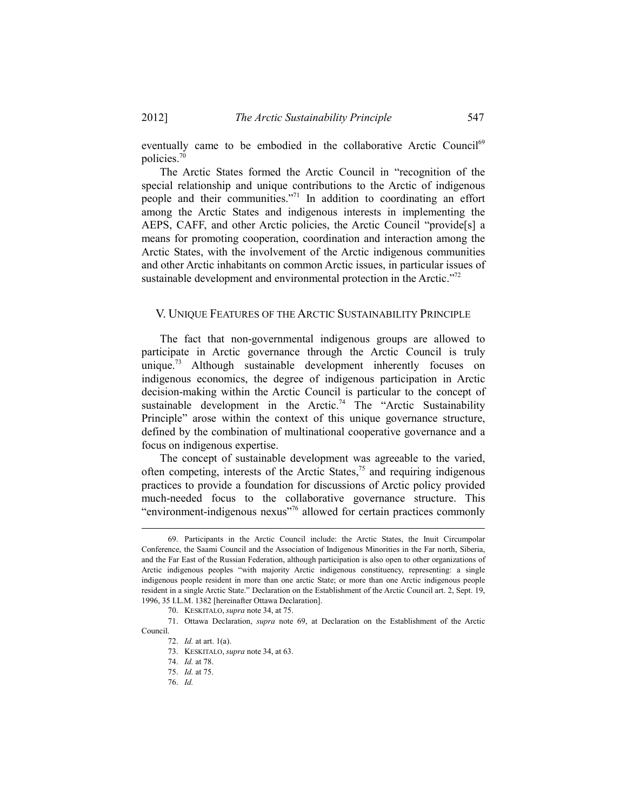eventually came to be embodied in the collaborative Arctic Council<sup>69</sup> policies.70

The Arctic States formed the Arctic Council in "recognition of the special relationship and unique contributions to the Arctic of indigenous people and their communities."71 In addition to coordinating an effort among the Arctic States and indigenous interests in implementing the AEPS, CAFF, and other Arctic policies, the Arctic Council "provide[s] a means for promoting cooperation, coordination and interaction among the Arctic States, with the involvement of the Arctic indigenous communities and other Arctic inhabitants on common Arctic issues, in particular issues of sustainable development and environmental protection in the Arctic."<sup>72</sup>

#### V. UNIQUE FEATURES OF THE ARCTIC SUSTAINABILITY PRINCIPLE

The fact that non-governmental indigenous groups are allowed to participate in Arctic governance through the Arctic Council is truly unique.<sup>73</sup> Although sustainable development inherently focuses on indigenous economics, the degree of indigenous participation in Arctic decision-making within the Arctic Council is particular to the concept of sustainable development in the Arctic.<sup>74</sup> The "Arctic Sustainability Principle" arose within the context of this unique governance structure, defined by the combination of multinational cooperative governance and a focus on indigenous expertise.

The concept of sustainable development was agreeable to the varied, often competing, interests of the Arctic States,<sup>75</sup> and requiring indigenous practices to provide a foundation for discussions of Arctic policy provided much-needed focus to the collaborative governance structure. This "environment-indigenous nexus"<sup>76</sup> allowed for certain practices commonly

 <sup>69.</sup> Participants in the Arctic Council include: the Arctic States, the Inuit Circumpolar Conference, the Saami Council and the Association of Indigenous Minorities in the Far north, Siberia, and the Far East of the Russian Federation, although participation is also open to other organizations of Arctic indigenous peoples "with majority Arctic indigenous constituency, representing: a single indigenous people resident in more than one arctic State; or more than one Arctic indigenous people resident in a single Arctic State." Declaration on the Establishment of the Arctic Council art. 2, Sept. 19, 1996, 35 I.L.M. 1382 [hereinafter Ottawa Declaration].

 <sup>70.</sup> KESKITALO, *supra* note 34, at 75.

 <sup>71.</sup> Ottawa Declaration, *supra* note 69, at Declaration on the Establishment of the Arctic Council.

 <sup>72.</sup> *Id.* at art. 1(a).

 <sup>73.</sup> KESKITALO, *supra* note 34, at 63.

 <sup>74.</sup> *Id.* at 78.

 <sup>75.</sup> *Id.* at 75.

 <sup>76.</sup> *Id.*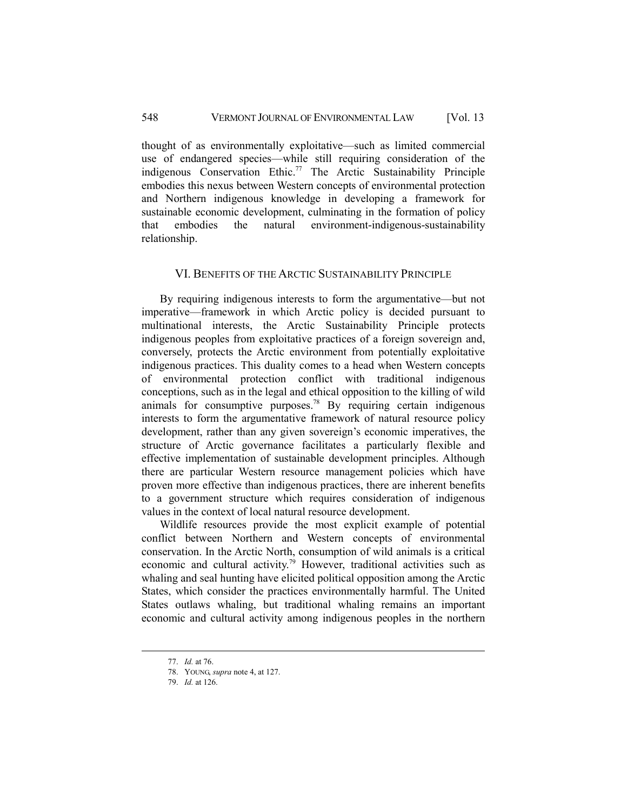### 548 VERMONT JOURNAL OF ENVIRONMENTAL LAW [Vol. 13

thought of as environmentally exploitative—such as limited commercial use of endangered species—while still requiring consideration of the indigenous Conservation Ethic.<sup>77</sup> The Arctic Sustainability Principle embodies this nexus between Western concepts of environmental protection and Northern indigenous knowledge in developing a framework for sustainable economic development, culminating in the formation of policy that embodies the natural environment-indigenous-sustainability relationship.

#### VI. BENEFITS OF THE ARCTIC SUSTAINABILITY PRINCIPLE

By requiring indigenous interests to form the argumentative—but not imperative—framework in which Arctic policy is decided pursuant to multinational interests, the Arctic Sustainability Principle protects indigenous peoples from exploitative practices of a foreign sovereign and, conversely, protects the Arctic environment from potentially exploitative indigenous practices. This duality comes to a head when Western concepts of environmental protection conflict with traditional indigenous conceptions, such as in the legal and ethical opposition to the killing of wild animals for consumptive purposes.78 By requiring certain indigenous interests to form the argumentative framework of natural resource policy development, rather than any given sovereign's economic imperatives, the structure of Arctic governance facilitates a particularly flexible and effective implementation of sustainable development principles. Although there are particular Western resource management policies which have proven more effective than indigenous practices, there are inherent benefits to a government structure which requires consideration of indigenous values in the context of local natural resource development.

Wildlife resources provide the most explicit example of potential conflict between Northern and Western concepts of environmental conservation. In the Arctic North, consumption of wild animals is a critical economic and cultural activity.79 However, traditional activities such as whaling and seal hunting have elicited political opposition among the Arctic States, which consider the practices environmentally harmful. The United States outlaws whaling, but traditional whaling remains an important economic and cultural activity among indigenous peoples in the northern

 <sup>77.</sup> *Id.* at 76.

 <sup>78.</sup> YOUNG, *supra* note 4, at 127.

 <sup>79.</sup> *Id.* at 126.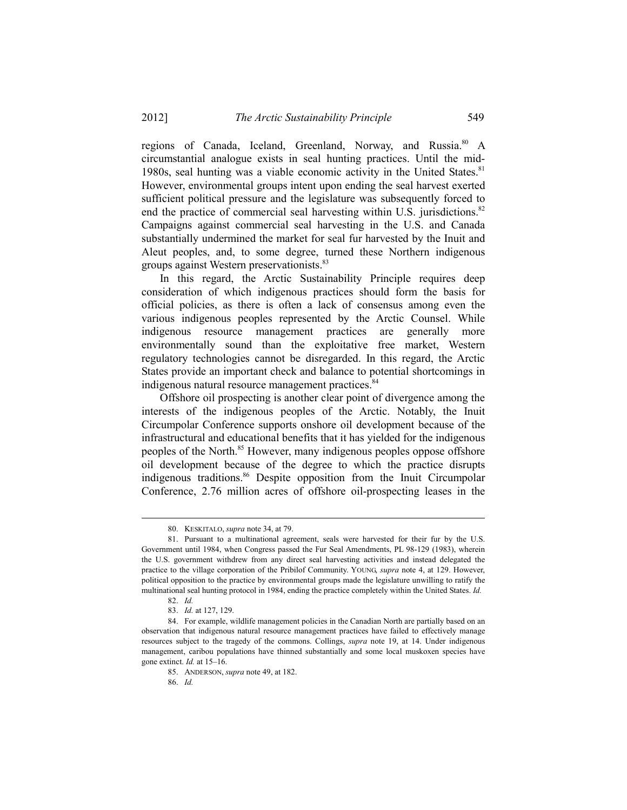regions of Canada, Iceland, Greenland, Norway, and Russia.<sup>80</sup> A circumstantial analogue exists in seal hunting practices. Until the mid-1980s, seal hunting was a viable economic activity in the United States.<sup>81</sup> However, environmental groups intent upon ending the seal harvest exerted sufficient political pressure and the legislature was subsequently forced to end the practice of commercial seal harvesting within U.S. jurisdictions.<sup>82</sup> Campaigns against commercial seal harvesting in the U.S. and Canada substantially undermined the market for seal fur harvested by the Inuit and Aleut peoples, and, to some degree, turned these Northern indigenous groups against Western preservationists.<sup>83</sup>

In this regard, the Arctic Sustainability Principle requires deep consideration of which indigenous practices should form the basis for official policies, as there is often a lack of consensus among even the various indigenous peoples represented by the Arctic Counsel. While indigenous resource management practices are generally more environmentally sound than the exploitative free market, Western regulatory technologies cannot be disregarded. In this regard, the Arctic States provide an important check and balance to potential shortcomings in indigenous natural resource management practices.<sup>84</sup>

Offshore oil prospecting is another clear point of divergence among the interests of the indigenous peoples of the Arctic. Notably, the Inuit Circumpolar Conference supports onshore oil development because of the infrastructural and educational benefits that it has yielded for the indigenous peoples of the North.<sup>85</sup> However, many indigenous peoples oppose offshore oil development because of the degree to which the practice disrupts indigenous traditions.<sup>86</sup> Despite opposition from the Inuit Circumpolar Conference, 2.76 million acres of offshore oil-prospecting leases in the

 <sup>80.</sup> KESKITALO, *supra* note 34, at 79.

 <sup>81.</sup> Pursuant to a multinational agreement, seals were harvested for their fur by the U.S. Government until 1984, when Congress passed the Fur Seal Amendments, PL 98-129 (1983), wherein the U.S. government withdrew from any direct seal harvesting activities and instead delegated the practice to the village corporation of the Pribilof Community. YOUNG, *supra* note 4, at 129. However, political opposition to the practice by environmental groups made the legislature unwilling to ratify the multinational seal hunting protocol in 1984, ending the practice completely within the United States. *Id.*

 <sup>82.</sup> *Id.* 

 <sup>83.</sup> *Id.* at 127, 129.

 <sup>84.</sup> For example, wildlife management policies in the Canadian North are partially based on an observation that indigenous natural resource management practices have failed to effectively manage resources subject to the tragedy of the commons. Collings, *supra* note 19, at 14. Under indigenous management, caribou populations have thinned substantially and some local muskoxen species have gone extinct. *Id.* at 15–16.

 <sup>85.</sup> ANDERSON, *supra* note 49, at 182.

 <sup>86.</sup> *Id.*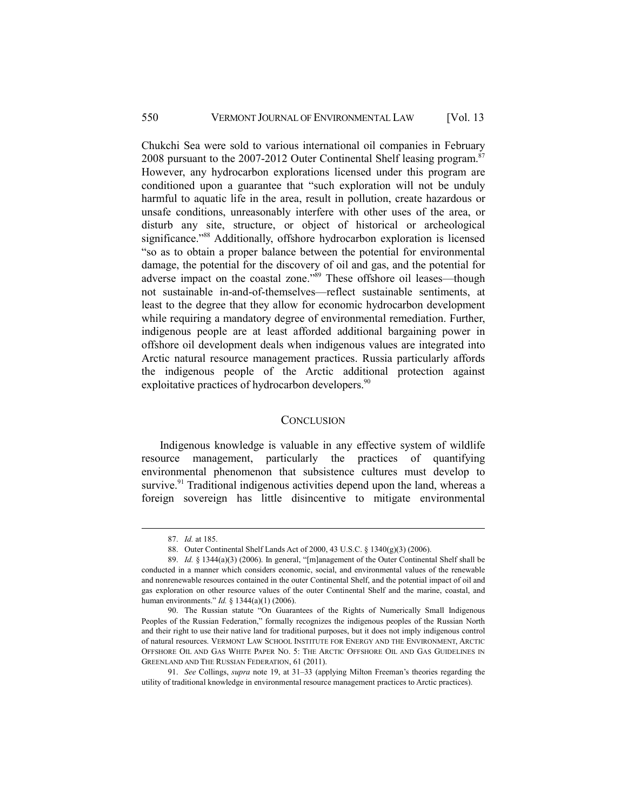Chukchi Sea were sold to various international oil companies in February 2008 pursuant to the 2007-2012 Outer Continental Shelf leasing program.<sup>87</sup> However, any hydrocarbon explorations licensed under this program are conditioned upon a guarantee that "such exploration will not be unduly harmful to aquatic life in the area, result in pollution, create hazardous or unsafe conditions, unreasonably interfere with other uses of the area, or disturb any site, structure, or object of historical or archeological significance."<sup>88</sup> Additionally, offshore hydrocarbon exploration is licensed "so as to obtain a proper balance between the potential for environmental damage, the potential for the discovery of oil and gas, and the potential for adverse impact on the coastal zone."89 These offshore oil leases—though not sustainable in-and-of-themselves—reflect sustainable sentiments, at least to the degree that they allow for economic hydrocarbon development while requiring a mandatory degree of environmental remediation. Further, indigenous people are at least afforded additional bargaining power in offshore oil development deals when indigenous values are integrated into Arctic natural resource management practices. Russia particularly affords the indigenous people of the Arctic additional protection against exploitative practices of hydrocarbon developers.<sup>90</sup>

#### **CONCLUSION**

Indigenous knowledge is valuable in any effective system of wildlife resource management, particularly the practices of quantifying environmental phenomenon that subsistence cultures must develop to survive.<sup>91</sup> Traditional indigenous activities depend upon the land, whereas a foreign sovereign has little disincentive to mitigate environmental

 <sup>87.</sup> *Id.* at 185.

 <sup>88.</sup> Outer Continental Shelf Lands Act of 2000, 43 U.S.C. § 1340(g)(3) (2006).

 <sup>89.</sup> *Id.* § 1344(a)(3) (2006). In general, "[m]anagement of the Outer Continental Shelf shall be conducted in a manner which considers economic, social, and environmental values of the renewable and nonrenewable resources contained in the outer Continental Shelf, and the potential impact of oil and gas exploration on other resource values of the outer Continental Shelf and the marine, coastal, and human environments." *Id.* § 1344(a)(1) (2006).

 <sup>90.</sup> The Russian statute "On Guarantees of the Rights of Numerically Small Indigenous Peoples of the Russian Federation," formally recognizes the indigenous peoples of the Russian North and their right to use their native land for traditional purposes, but it does not imply indigenous control of natural resources. VERMONT LAW SCHOOL INSTITUTE FOR ENERGY AND THE ENVIRONMENT, ARCTIC OFFSHORE OIL AND GAS WHITE PAPER NO. 5: THE ARCTIC OFFSHORE OIL AND GAS GUIDELINES IN GREENLAND AND THE RUSSIAN FEDERATION, 61 (2011).

 <sup>91.</sup> *See* Collings, *supra* note 19, at 31–33 (applying Milton Freeman's theories regarding the utility of traditional knowledge in environmental resource management practices to Arctic practices).